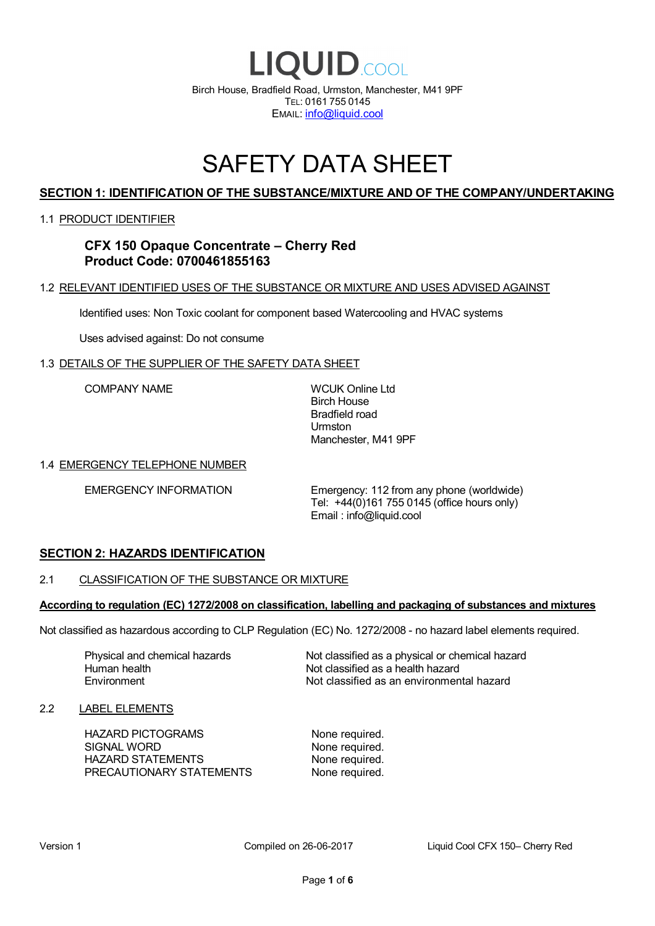

# SAFETY DATA SHEET

# **SECTION 1: IDENTIFICATION OF THE SUBSTANCE/MIXTURE AND OF THE COMPANY/UNDERTAKING**

### 1.1 PRODUCT IDENTIFIER

# **CFX 150 Opaque Concentrate – Cherry Red Product Code: 0700461855163**

### 1.2 RELEVANT IDENTIFIED USES OF THE SUBSTANCE OR MIXTURE AND USES ADVISED AGAINST

Identified uses: Non Toxic coolant for component based Watercooling and HVAC systems

Uses advised against: Do not consume

### 1.3 DETAILS OF THE SUPPLIER OF THE SAFETY DATA SHEET

COMPANY NAME WCUK Online Ltd

Birch House Bradfield road Urmston Manchester, M41 9PF

### 1.4 EMERGENCY TELEPHONE NUMBER

EMERGENCY INFORMATION Emergency: 112 from any phone (worldwide) Tel: +44(0)161 755 0145 (office hours only) Email : info@liquid.cool

# **SECTION 2: HAZARDS IDENTIFICATION**

### 2.1 CLASSIFICATION OF THE SUBSTANCE OR MIXTURE

### **According to regulation (EC) 1272/2008 on classification, labelling and packaging of substances and mixtures**

Not classified as hazardous according to CLP Regulation (EC) No. 1272/2008 - no hazard label elements required.

Human health **Environment** 

Physical and chemical hazards Not classified as a physical or chemical hazard Not classified as a health hazard Not classified as an environmental hazard

### 2.2 LABEL ELEMENTS

HAZARD PICTOGRAMS None required. SIGNAL WORD None required. HAZARD STATEMENTS None required. PRECAUTIONARY STATEMENTS None required.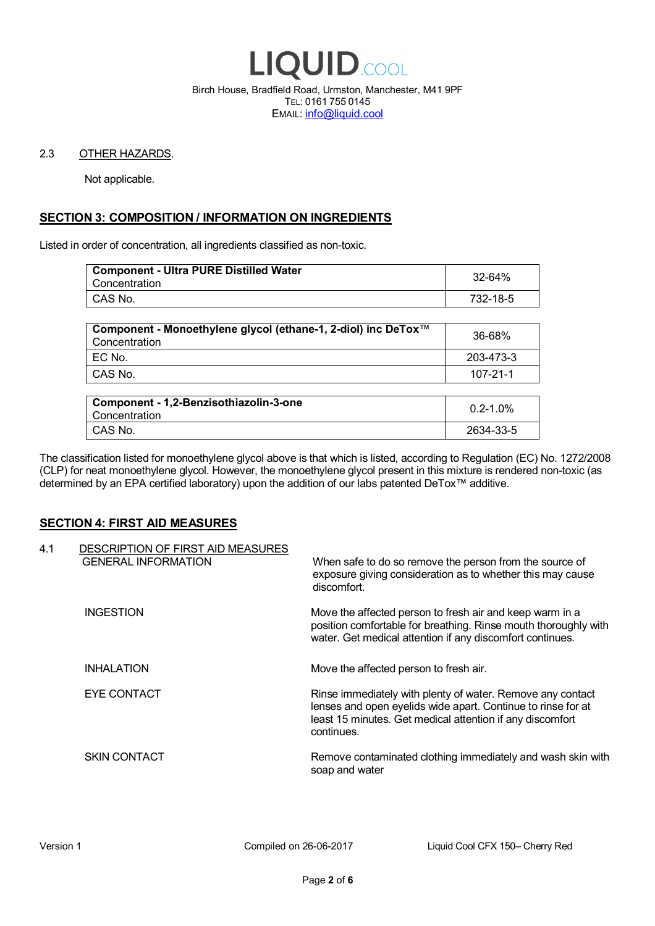

Birch House, Bradfield Road, Urmston, Manchester, M41 9PF TEL: 0161 755 0145 EMAIL: info@liquid.cool

### 2.3 OTHER HAZARDS.

Not applicable.

# **SECTION 3: COMPOSITION / INFORMATION ON INGREDIENTS**

Listed in order of concentration, all ingredients classified as non-toxic.

| <b>Component - Ultra PURE Distilled Water</b><br>Concentration | 32-64%   |
|----------------------------------------------------------------|----------|
| CAS No.                                                        | 732-18-5 |
|                                                                |          |

| Component - Monoethylene glycol (ethane-1, 2-diol) inc DeTox™<br>Concentration | 36-68%    |
|--------------------------------------------------------------------------------|-----------|
| ! EC No.                                                                       | 203-473-3 |
| I CAS No.                                                                      | 107-21-1  |

| Component - 1,2-Benzisothiazolin-3-one<br>Concentration | $0.2 - 1.0\%$ |
|---------------------------------------------------------|---------------|
| CAS No.                                                 | 2634-33-5     |

The classification listed for monoethylene glycol above is that which is listed, according to Regulation (EC) No. 1272/2008 (CLP) for neat monoethylene glycol. However, the monoethylene glycol present in this mixture is rendered non-toxic (as determined by an EPA certified laboratory) upon the addition of our labs patented DeTox™ additive.

### **SECTION 4: FIRST AID MEASURES**

| 4.1 | DESCRIPTION OF FIRST AID MEASURES<br><b>GENERAL INFORMATION</b> | When safe to do so remove the person from the source of<br>exposure giving consideration as to whether this may cause<br>discomfort.                                                                  |
|-----|-----------------------------------------------------------------|-------------------------------------------------------------------------------------------------------------------------------------------------------------------------------------------------------|
|     | <b>INGESTION</b>                                                | Move the affected person to fresh air and keep warm in a<br>position comfortable for breathing. Rinse mouth thoroughly with<br>water. Get medical attention if any discomfort continues.              |
|     | <b>INHALATION</b>                                               | Move the affected person to fresh air.                                                                                                                                                                |
|     | EYE CONTACT                                                     | Rinse immediately with plenty of water. Remove any contact<br>lenses and open eyelids wide apart. Continue to rinse for at<br>least 15 minutes. Get medical attention if any discomfort<br>continues. |
|     | <b>SKIN CONTACT</b>                                             | Remove contaminated clothing immediately and wash skin with<br>soap and water                                                                                                                         |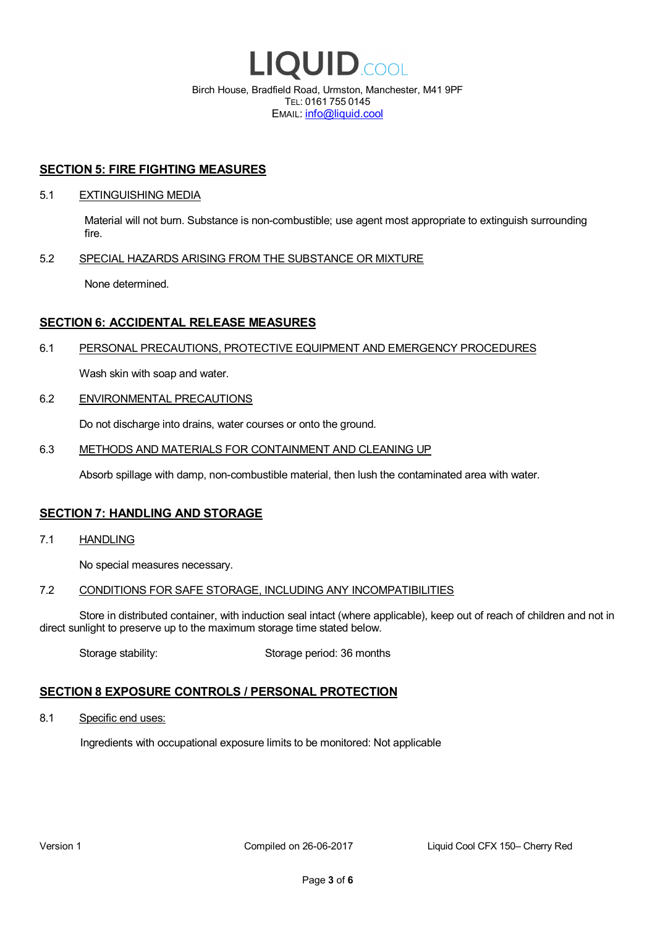

EMAIL: info@liquid.cool

### **SECTION 5: FIRE FIGHTING MEASURES**

### 5.1 EXTINGUISHING MEDIA

Material will not burn. Substance is non-combustible; use agent most appropriate to extinguish surrounding fire.

### 5.2 SPECIAL HAZARDS ARISING FROM THE SUBSTANCE OR MIXTURE

None determined.

### **SECTION 6: ACCIDENTAL RELEASE MEASURES**

### 6.1 PERSONAL PRECAUTIONS, PROTECTIVE EQUIPMENT AND EMERGENCY PROCEDURES

Wash skin with soap and water.

### 6.2 ENVIRONMENTAL PRECAUTIONS

Do not discharge into drains, water courses or onto the ground.

### 6.3 METHODS AND MATERIALS FOR CONTAINMENT AND CLEANING UP

Absorb spillage with damp, non-combustible material, then lush the contaminated area with water.

### **SECTION 7: HANDLING AND STORAGE**

7.1 HANDLING

No special measures necessary.

### 7.2 CONDITIONS FOR SAFE STORAGE, INCLUDING ANY INCOMPATIBILITIES

Store in distributed container, with induction seal intact (where applicable), keep out of reach of children and not in direct sunlight to preserve up to the maximum storage time stated below.

Storage stability: Storage period: 36 months

# **SECTION 8 EXPOSURE CONTROLS / PERSONAL PROTECTION**

8.1 Specific end uses:

Ingredients with occupational exposure limits to be monitored: Not applicable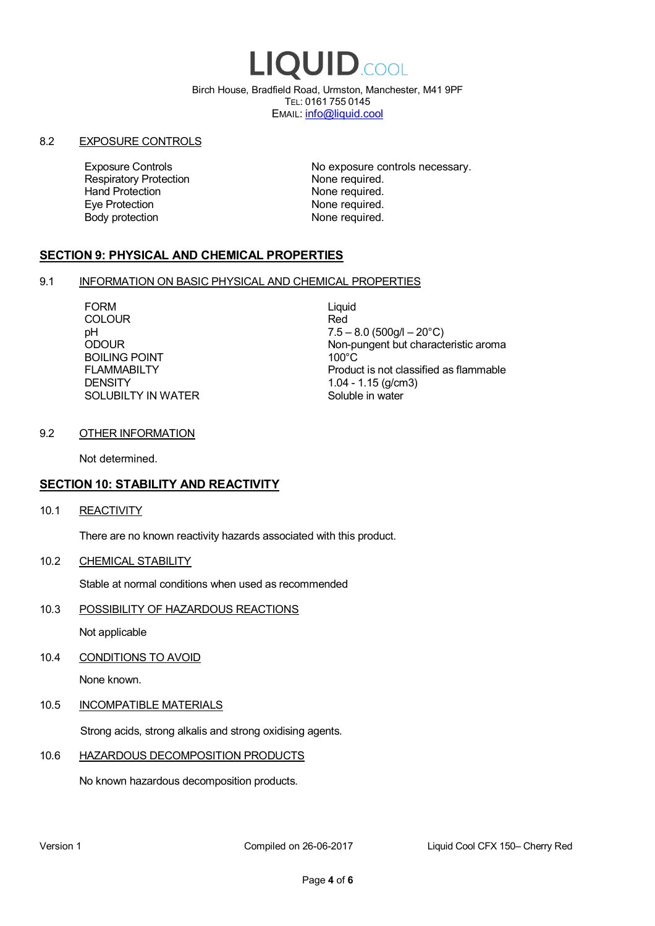# LIQUID.COOL

Birch House, Bradfield Road, Urmston, Manchester, M41 9PF TEL: 0161 755 0145 EMAIL: info@liquid.cool

### 8.2 EXPOSURE CONTROLS

Respiratory Protection **None required.**<br>
Hand Protection **None required.** Eye Protection **None required.** Body protection None required.

Exposure Controls **Exposure Controls** No exposure controls necessary. None required.

# **SECTION 9: PHYSICAL AND CHEMICAL PROPERTIES**

### 9.1 INFORMATION ON BASIC PHYSICAL AND CHEMICAL PROPERTIES

FORM Liquid COLOUR Red BOILING POINT FLAMMABILTY **DENSITY** SOLUBILTY IN WATER

pH<br>
DDOUR
20°C)
2000UR
2000UR
2000UR
2000UR Non-pungent but characteristic aroma 100°C Product is not classified as flammable 1.04 - 1.15 (g/cm3) Soluble in water

### 9.2 OTHER INFORMATION

Not determined.

# **SECTION 10: STABILITY AND REACTIVITY**

10.1 REACTIVITY

There are no known reactivity hazards associated with this product.

10.2 CHEMICAL STABILITY

Stable at normal conditions when used as recommended

10.3 POSSIBILITY OF HAZARDOUS REACTIONS

Not applicable

10.4 CONDITIONS TO AVOID

None known.

### 10.5 INCOMPATIBLE MATERIALS

Strong acids, strong alkalis and strong oxidising agents.

# 10.6 HAZARDOUS DECOMPOSITION PRODUCTS

No known hazardous decomposition products.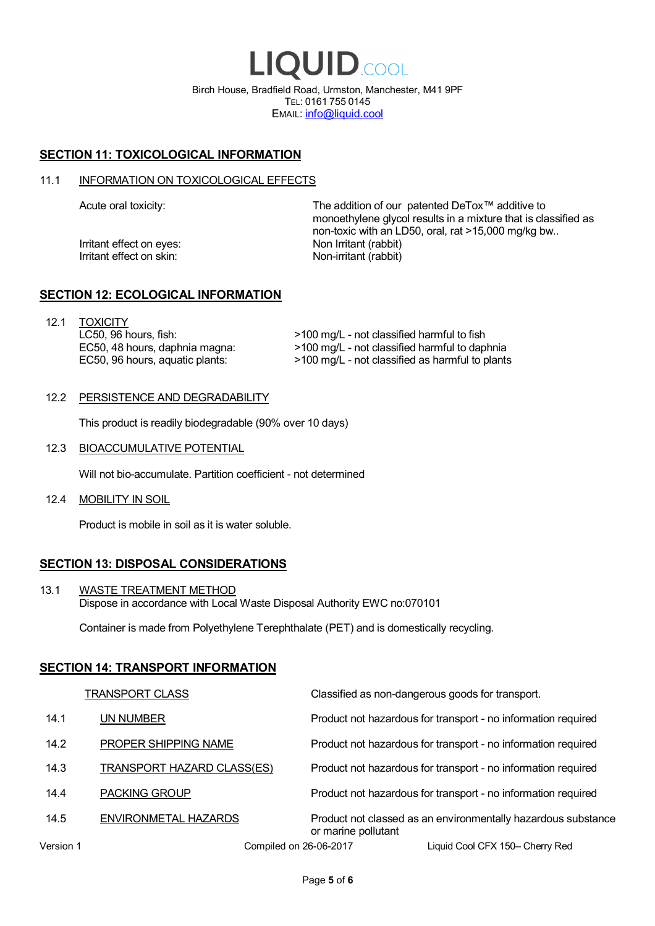LIQUID.COOL Birch House, Bradfield Road, Urmston, Manchester, M41 9PF TEL: 0161 755 0145 EMAIL: info@liquid.cool

# **SECTION 11: TOXICOLOGICAL INFORMATION**

### 11.1 INFORMATION ON TOXICOLOGICAL EFFECTS

Irritant effect on eves: Non Irritant (rabbit) Irritant effect on skin: Non-irritant (rabbit)

Acute oral toxicity: The addition of our patented DeTox™ additive to monoethylene glycol results in a mixture that is classified as non-toxic with an LD50, oral, rat >15,000 mg/kg bw..

### **SECTION 12: ECOLOGICAL INFORMATION**

12.1 TOXICITY LC50, 96 hours, fish: EC50, 48 hours, daphnia magna: EC50, 96 hours, aquatic plants:

>100 mg/L - not classified harmful to fish >100 mg/L - not classified harmful to daphnia >100 mg/L - not classified as harmful to plants

### 12.2 PERSISTENCE AND DEGRADABILITY

This product is readily biodegradable (90% over 10 days)

12.3 BIOACCUMULATIVE POTENTIAL

Will not bio-accumulate. Partition coefficient - not determined

12.4 MOBILITY IN SOIL

Product is mobile in soil as it is water soluble.

# **SECTION 13: DISPOSAL CONSIDERATIONS**

13.1 WASTE TREATMENT METHOD Dispose in accordance with Local Waste Disposal Authority EWC no:070101

Container is made from Polyethylene Terephthalate (PET) and is domestically recycling.

### **SECTION 14: TRANSPORT INFORMATION**

|           | <b>TRANSPORT CLASS</b>            | Classified as non-dangerous goods for transport.                                     |
|-----------|-----------------------------------|--------------------------------------------------------------------------------------|
| 14.1      | UN NUMBER                         | Product not hazardous for transport - no information required                        |
| 14.2      | PROPER SHIPPING NAME              | Product not hazardous for transport - no information required                        |
| 14.3      | <b>TRANSPORT HAZARD CLASS(ES)</b> | Product not hazardous for transport - no information required                        |
| 14.4      | <b>PACKING GROUP</b>              | Product not hazardous for transport - no information required                        |
| 14.5      | ENVIRONMETAL HAZARDS              | Product not classed as an environmentally hazardous substance<br>or marine pollutant |
| Version 1 | Compiled on 26-06-2017            | Liquid Cool CFX 150- Cherry Red                                                      |